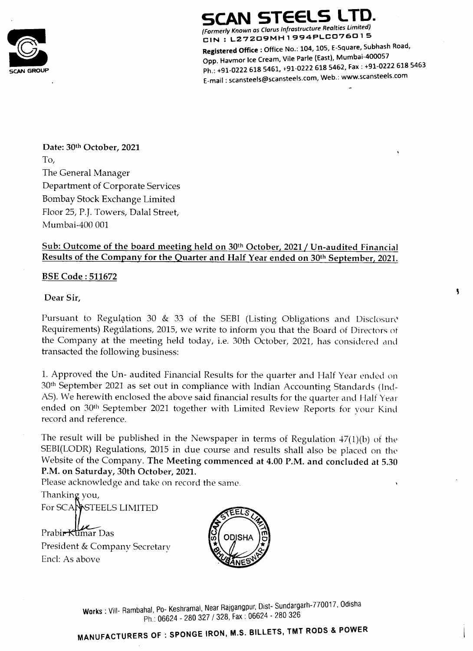

# SCAN STEELS LTD.

Formerly Known as Clarus Infrastructure Realties Limited)<br>
Formerly Known as Clarus Infrastructure Realties Limited) te : L27209MH1 994PLCO76015

Registered Office : Office No.: 104, 105, E-Square, Subhash Road, Opp. Havmor Ice Cream, Vile Parle (East), Mumbai-400057<br>Ph.: +91-0222 618 5461, +91-0222 618 5462, Fax : +91-022 Ph.: +91-0222 618 5461, +91-0222 618 5462, Fax : +91-0222 618 <sup>546</sup> E-mail : scansteels@scansteels.com, Web.: www.scansteels.com

Date: 30th October, 2021

To,

The General Manager Department of Corporate Services Bombay Stock Exchange Limited Floor 25, P.J. Towers, Dalal Street, Mumbai-400 001

Sub: Outcome of the board meeting held on 30<sup>th</sup> October, 2021 / Un-audited Financial Results of the Company for the Quarter and Half Year ended on 30<sup>th</sup> September, 2021.

#### BSE Code : 511672

Dear Sir,

## For SCANRSTEELS LIMITED  $\frac{1}{2}$

Prabir <del>Kuma</del>r Das

Pursuant to Regulation 30 & 33 of the SEBI (Listing Obligations and Disclosure Requirements) Regulations, 2015, we write to inform you that the Board of Directors of the Company at the meeting held today, i.e. 30th October, 2021, has considered and transacted the following business:

1. Approved the Un- audited Financial Results for the quarter and Half Year ended on 30% September 2021 as set out in compliance with Indian Accounting Standards (Ind-AS). We herewith enclosed the above said financial results for the quarter and Half Year ended on 30<sup>th</sup> September 2021 together with Limited Review Reports for your Kind record and reference.

The result will be published in the Newspaper in terms of Regulation 47(1)(b) of the SEBI(LODR) Regulations, 2015 in due course and results shall also be placed on the Website of the Company. The Meeting commenced at 4.00 P.M. and concluded at 5.30 P.M. on Saturday, 30th October, 2021. Please acknowledge and take on record the same. Thanking you,

President & Company Secretary Encl: As above



Works: Vill- Rambahal, Po- Keshramal, Near Rajgar<br>Ph.: 06624 - 280 327 / 328, Fa<br>MANUFACTURERS OF: SPONGE IRON, M. Works : Vill- Rambahal, Po- Keshramal, Near Rajgangpur, Dist- Sundargarh-770017, Odisha Ph.: 06624 - 280 327 / 328, Fax: 06624 - 280 326

ON, M.S. BILLETS, TMT RODS & POWER MANUFACTURERS OF : SPONGE IR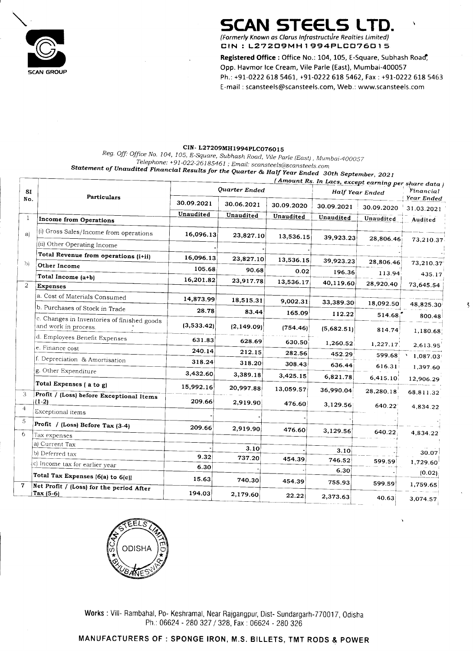## SCAN STEELS LTD. (Formerly Known as Clarus Infrastructure Realties Limited)

<u>aestra de la componenta de la componenta de la componenta de la componenta de la componenta de la componenta d</u>



#### CIN- L27209MH1994PLC076015

# : Vill- Ram<br>ACTURE Works : Vill- Rambahal, Po- Keshramal, Near Rajgangpur, Dist- Sundargarh-770017, Odisha Ph.: 06624 - 280 327 / 328, Fax : 06624 - 280 326

## Statement of Unaudited Financial Results for the Quarter & Half Year Ended 30th September, <sup>2021</sup>

|               |                                                                                                  |                                                                | SCAN STEELS LTD.<br>(Formerly Known as Clarus Infrastructure Realties Limited)                                              |                    |                     |                                                     |                          |
|---------------|--------------------------------------------------------------------------------------------------|----------------------------------------------------------------|-----------------------------------------------------------------------------------------------------------------------------|--------------------|---------------------|-----------------------------------------------------|--------------------------|
|               |                                                                                                  |                                                                | CIN: L27209MH1994PLC076015                                                                                                  |                    |                     |                                                     |                          |
|               |                                                                                                  |                                                                | Registered Office: Office No.: 104, 105, E-Square, Subhash Road,<br>Opp. Havmor Ice Cream, Vile Parle (East), Mumbai-400057 |                    |                     |                                                     |                          |
|               | <b>SCAN GROUP</b>                                                                                |                                                                | Ph.: +91-0222 618 5461, +91-0222 618 5462, Fax : +91-0222 618 5463                                                          |                    |                     |                                                     |                          |
|               |                                                                                                  |                                                                | E-mail: scansteels@scansteels.com, Web.: www.scansteels.com                                                                 |                    |                     |                                                     |                          |
|               |                                                                                                  |                                                                |                                                                                                                             |                    |                     |                                                     |                          |
|               |                                                                                                  |                                                                |                                                                                                                             |                    |                     |                                                     |                          |
|               |                                                                                                  |                                                                | CIN-L27209MH1994PLC076015                                                                                                   |                    |                     |                                                     |                          |
|               | Reg. Off: Office No. 104, 105, E-Square, Subhash Road, Vile Parle (East) , Mumbai-400057         | Telephone: +91-022-26185461 ; Email: scansteels@scansteels.com |                                                                                                                             |                    |                     |                                                     |                          |
|               | Statement of Unaudited Financial Results for the Quarter & Half Year Ended  30th September, 2021 |                                                                |                                                                                                                             |                    |                     | (Amount Rs. In Lacs, except earning per share data) |                          |
| <b>SI</b>     | <b>Particulars</b>                                                                               |                                                                | Quarter Ended                                                                                                               |                    | Half Year Ended     |                                                     | Financial                |
| No.           |                                                                                                  | 30.09.2021                                                     |                                                                                                                             |                    |                     |                                                     |                          |
|               |                                                                                                  |                                                                | 30.06.2021                                                                                                                  | 30.09.2020         | 30.09.2021          | 30.09.2020                                          | Year Ended<br>31.03.2021 |
|               | Income from Operations                                                                           | Unaudited                                                      | Unaudited                                                                                                                   | Unaudited          | Unaudited           | Unaudited                                           | Audited                  |
| a)            | (i) Gross Sales/Income from operations                                                           | 16,096.13                                                      | 23,827.10                                                                                                                   | 13,536.15          | 39,923.23           | 28,806.46                                           | 73,210.37                |
|               | $(i)$ Other Operating Income                                                                     |                                                                |                                                                                                                             |                    |                     |                                                     |                          |
| $\mathbf{b}$  | Total Revenue from operations (i+ii)<br>Other Income                                             | 16,096.13<br>105.68                                            | 23,827.10<br>90.68                                                                                                          | 13,536.15          | 39,923.23           | 28,806.46                                           | 73,210.37                |
|               | Total Income (a+b)                                                                               | 16,201.82                                                      | 23,917.78                                                                                                                   | 0.02<br>13,536.17  | 196.36<br>40,119.60 | 113.94<br>28,920.40                                 | 435.17                   |
|               | <b>Expenses</b><br>[a. Cost of Materials Consumed]                                               |                                                                |                                                                                                                             |                    |                     |                                                     | 73,645.54                |
|               | b. Purchases of Stock in Trade                                                                   | 14,873.99<br>28.78                                             | 18,515.31<br>83.44                                                                                                          | 9,002.31<br>165.09 | 33,389.30           | 18,092.50                                           | 48,825.30                |
|               | (c. Changes in Inventories of finished goods<br>and work in process.                             | (3,533.42)                                                     | (2,149.09)                                                                                                                  | (754.46) $\mid$    | 112.22              | 514.68                                              | 800.48                   |
|               | d. Employees Benefit Expenses                                                                    | 631.83                                                         | 628.69                                                                                                                      | 630.50             | (5,682.51)          | 814.74                                              | 1,180.68                 |
|               | (e. Finance cost)                                                                                | 240.14                                                         | 212.15                                                                                                                      | 282.56             | 1,260.52<br>452.29  | 1,227.17<br>599.68                                  | 2,613.95<br>1,087.03     |
|               | f. Depreciation & Amortisation                                                                   | 318.24                                                         | 318.20                                                                                                                      | 308.43             | 636.44              | 616.31                                              | 1,397.60                 |
|               | g. Other Expenditure<br>Total Expenses (a to g)                                                  | 3,432.60                                                       | 3,389.18                                                                                                                    | 3,425.15           | 6,821.78            | 6,415.10                                            | 12,906.29                |
|               | Profit / (Loss) before Exceptional Items                                                         | 15,992.16                                                      | 20,997.88                                                                                                                   | 13,059.57          | 36,990.04           | 28,280.18                                           | 68,811.32                |
|               | $(1-2)$<br>Exceptional items                                                                     | 209.66                                                         | 2,919.90                                                                                                                    | 476.60             | 3,129.56            | 640.22                                              | 4,834.22                 |
|               | $ Profit / (Loss) Before Tax (3-4)$                                                              | 209.66                                                         | 2,919.90                                                                                                                    | 476.60             |                     |                                                     |                          |
| $\mathfrak b$ | $\frac{1}{2}$ Tax expenses                                                                       |                                                                |                                                                                                                             |                    | 3,129.56            | 640.22                                              | 4,834.22                 |
|               | (a) Current Tax<br>(b) Deferred tax                                                              | 9.32                                                           | 3.10<br>737.20                                                                                                              |                    | 3.10                |                                                     | 30.07                    |
|               | $\vert c \vert$ income tax for earlier year                                                      | 6.30                                                           |                                                                                                                             | 454.39             | 746.52<br>6.30      | 599.59                                              | 1,729.60                 |
|               | Total Tax Expenses $(6(a)$ to $6(c)$<br>$ Net Profit / (Loss) for the period After$              | 15.63                                                          | 740.30                                                                                                                      | 454.39             | 755.93              | 599.59                                              | (0.02)<br>1,759.65       |

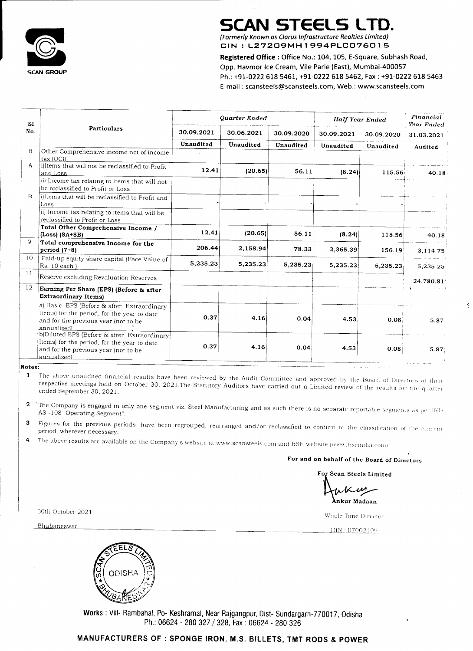## SCAN STEELS LTD.





30th October 2021

Bhubaneswar

|                  |                                                                                                                                         |                         | <b>SCAN STEELS LTD.</b>                                                                                                          |                         |                         |            |                                                                                                                                                                                                                                             |
|------------------|-----------------------------------------------------------------------------------------------------------------------------------------|-------------------------|----------------------------------------------------------------------------------------------------------------------------------|-------------------------|-------------------------|------------|---------------------------------------------------------------------------------------------------------------------------------------------------------------------------------------------------------------------------------------------|
|                  |                                                                                                                                         |                         | (Formerly Known as Clarus Infrastructure Realties Limited)<br>CIN: L27209MH1994PLC076015                                         |                         |                         |            |                                                                                                                                                                                                                                             |
|                  | <b>SCAN GROUP</b>                                                                                                                       |                         | Registered Office: Office No.: 104, 105, E-Square, Subhash Road,<br>Opp. Havmor Ice Cream, Vile Parle (East), Mumbai-400057      |                         |                         |            |                                                                                                                                                                                                                                             |
|                  |                                                                                                                                         |                         | Ph.: +91-0222 618 5461, +91-0222 618 5462, Fax: +91-0222 618 5463<br>E-mail: scansteels@scansteels.com, Web.: www.scansteels.com |                         |                         |            |                                                                                                                                                                                                                                             |
|                  |                                                                                                                                         |                         |                                                                                                                                  |                         |                         |            |                                                                                                                                                                                                                                             |
| <b>SI</b><br>No. | <b>Particulars</b>                                                                                                                      |                         | Ouarter Ended                                                                                                                    |                         |                         |            |                                                                                                                                                                                                                                             |
|                  |                                                                                                                                         |                         |                                                                                                                                  |                         | Half Year Ended         |            | Financial<br>Year Ended                                                                                                                                                                                                                     |
|                  |                                                                                                                                         | 30.09.2021<br>Unaudited | 30.06.2021<br>Unaudited                                                                                                          | 30.09.2020<br>Unaudited | 30.09.2021<br>Unaudited | 30.09.2020 | 31.03.2021                                                                                                                                                                                                                                  |
|                  | Other Comprehensive income net of income  <br><u> tax (OCI)</u>                                                                         |                         |                                                                                                                                  |                         |                         | Unaudited  | Audited                                                                                                                                                                                                                                     |
| A                | i)Items that will not be reclassified to Profit<br><u>land Loss</u>                                                                     | 12.41                   | (20.65)                                                                                                                          | 56.11                   | (8.24)                  | 115.56     | $40.18 +$                                                                                                                                                                                                                                   |
| Β                | (ii) Income tax relating to items that will not<br>be reclassified to Profit or Loss<br>i)Items that will be reclassified to Profit and |                         |                                                                                                                                  |                         |                         |            |                                                                                                                                                                                                                                             |
|                  | $\lfloor$ LOSS<br>ii) Income tax relating to items that will be                                                                         |                         |                                                                                                                                  |                         |                         |            |                                                                                                                                                                                                                                             |
|                  | reclassified to Profit or Loss<br>Total Other Comprehensive Income /<br>$ $ (Loss) (8A+8B)                                              | 12.41                   | (20.65)                                                                                                                          | 56.11                   | (8.24)                  | 115.56     | 40.18                                                                                                                                                                                                                                       |
|                  | Total comprehensive Income for the<br>$\vert$ period $(7+8)$                                                                            | 206.44                  | 2,158.94                                                                                                                         | 78.33                   | 2,365.39                | 156.19     | 3,114.75                                                                                                                                                                                                                                    |
| 10               | Paid-up equity share capital (Face Value of '<br>$ Rs. 10 each$ )                                                                       | 5,235.23                | 5,235.23                                                                                                                         | 5,235.23                | 5,235.23                | 5,235.23   | 5,235.23                                                                                                                                                                                                                                    |
|                  | Reserve excluding Revaluation Reserves                                                                                                  |                         |                                                                                                                                  |                         |                         |            | 24,780.81<br>and the second complete and the second property of the second property of the second property of the second property of the second property of the second property of the second property of the second property of the second |
| 12               | Earning Per Share (EPS) (Before & after<br><b>Extraordinary Items</b> )                                                                 |                         |                                                                                                                                  |                         |                         |            |                                                                                                                                                                                                                                             |
|                  | a) Basic EPS (Before & after Extraordinary<br>[Items] for the period, for the year to date<br>and for the previous year (not to be      | 0.37                    | 4.16                                                                                                                             | 0.04                    | 4.53                    | 0.08       | 5.87                                                                                                                                                                                                                                        |
|                  | lannualized).<br>(b)Diluted EPS (Before & after Extraordinary)<br>(Items) for the period, for the year to date                          | 0.37                    | 4.16                                                                                                                             | 0.04                    | 4.53                    | 0.08       |                                                                                                                                                                                                                                             |
| Notes:           | and for the previous year (not to be<br>lannualized)                                                                                    |                         |                                                                                                                                  |                         |                         |            | 5.87                                                                                                                                                                                                                                        |

- imited review of the re 1 The above unaudited financial results have been reviewed by the Audit Committee and approved by the Board of Directors at then respective meetings held on October 30, 2021.The Statutory Auditors have carried out a Limited review of the results for the quarter ended September 30, 2021.
- 2 The Company is engaged in only one segment viz. Steel Manufacturing and as such there is no separate reportable segments as per IND AS -108 "Operating Segment".
- 3 Figures for the previous periods have been regrouped, rearranged and/or reclassified to confirm to the classification of the current period, wherever necessary.
- and BSE website (www. bseindia cont <sup>4</sup>The above resuits are available on the Company's website at www.scansteels.com

» For and on behalf of the Board of Directors

For Scan Steels Limited

 $\sum_{i=1}^{n}$  $\boldsymbol{\mu}$ 

Ankur Madaan

Whole Time Director

\_DIN - 07002199

Works : Vill- Rambahal, Po- Keshramal, Near Rajgangpur, Dist- Sundargarh-770017, Odisha Ph.: 06624 - 280 327 / 328, Fax : 06624 - 280 326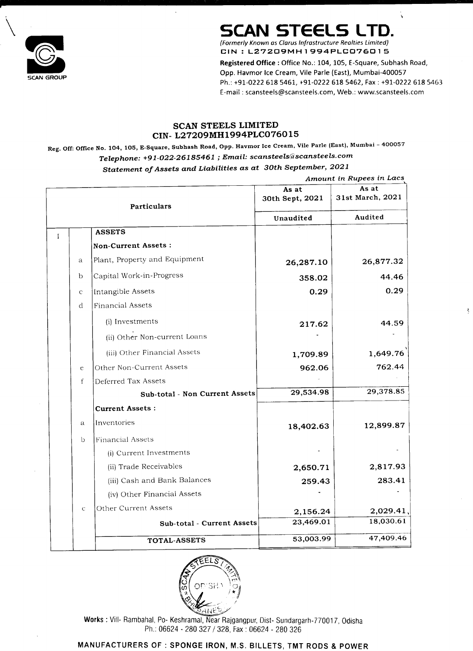## SCAN STEELS LTD. SCAN STEELS LTD<br>(Formerly Known as Clarus Infrastructure Realties Limited)

CIN : L27209MH1994PLC076015

Registered Office: Office No.: 104, 105, E-Square, Subhash Road, Opp. Havmor Ice Cream, Vile Parle (East), Mumbai-400057<br>SCAN GROUP Ph.: +91-0222 618 5461, +91-0222 618 5462, Fax : +91-0222 618 5463 E-mail : scansteels@scansteels.com, Web.: www.scansteels.com **SCAN S**<br>
(Formerly Known as Cla<br>
CIN : L27209<br>
Registered Office : Of<br>
Opp. Havmor Ice Crea<br>
Ph.: +91-0222 618 54<br>
E-mail : scansteels@s<br>
SCAN STEELS LIMITED<br>
L27209MH1994PLC0760<br>
Subhash Road, Opp. Havmor Ice Crea<br>
2-261

Reg. Off: Office No. 104, 105, E-Square, Subhash Road, Opp. Havmor Ice Cream, Vile Parle (East), Mumbai - <sup>400057</sup> Telephone: +91-022-26185461 ; Email: scansteels@scansteels.com

#### SCAN STEELS LIMITED CIN- L27209MH1994PLCO76015

#### Statement of Assets and Liabilities as at 30th September, 2021

 $\mathbf{v}$ 

|              | <b>Particulars</b>             | As at<br>30th Sept, 2021 | Amount in Rupees in Lacs<br>As at<br>31st March, 2021 |
|--------------|--------------------------------|--------------------------|-------------------------------------------------------|
|              |                                | Unaudited                | Audited                                               |
|              | <b>ASSETS</b>                  |                          |                                                       |
|              | Non-Current Assets:            |                          |                                                       |
| $\mathbf{a}$ | Plant, Property and Equipment  | 26,287.10                | 26,877.32                                             |
| $\mathsf{D}$ | Capital Work-in-Progress       | 358.02                   | 44.46                                                 |
| $\mathsf{C}$ | Intangible Assets              | 0.29                     | 0.29                                                  |
| $\mathbf d$  | Financial Assets               |                          |                                                       |
|              | (i) Investments                | 217.62                   | 44.59                                                 |
|              | (ii) Other Non-current Loans   |                          |                                                       |
|              | (iii) Other Financial Assets   | 1,709.89                 | 1,649.76                                              |
| $\epsilon$   | Other Non-Current Assets       | 962.06                   | 762.44                                                |
|              | Deferred Tax Assets            | $\overline{\phantom{m}}$ |                                                       |
|              | Sub-total - Non Current Assets | 29,534.98                | 29,378.85                                             |
|              | Current Assets :               |                          |                                                       |
| a            | Inventories                    | 18,402.63                | 12,899.87                                             |
| $\cup$       | <b>Financial Assets</b>        |                          |                                                       |
|              | (i) Current Investments        | $\blacksquare$           |                                                       |
|              | (ii) Trade Receivables         | 2,650.71                 | 2,817.93                                              |
|              | (iii) Cash and Bank Balances   | 259.43                   | 283.41                                                |
|              | (iv) Other Financial Assets    | $\bullet$                |                                                       |
| $\mathsf{C}$ | Other Current Assets           | 2,156.24                 | 2,029.41,                                             |
|              | Sub-total - Current Assets     | 23,469.01                | 18,030.61                                             |
|              | TOTAL-ASSETS                   | 53,003.99                | 47,409.46                                             |

| (iv) Other Financial Assets |           |           |
|-----------------------------|-----------|-----------|
| Other Current Assets        | 2,156.24  | 2,029.41, |
| Sub-total - Current Assets  | 23,469.01 | 18,030.61 |
| TOTAL-ASSETS                | 53,003.99 | 47,409.46 |

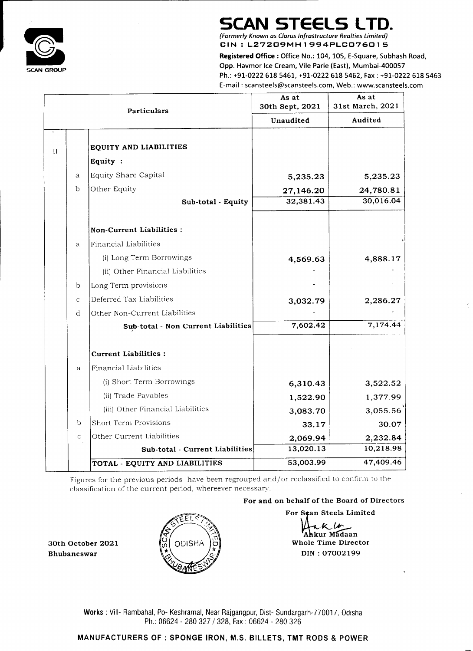Registered Office: Office No.: 104, 105, E-Square, Subhash Road, Opp. Havmor Ice Cream, Vile Parle (East), Mumbai-400057 Ph.: +91-0222 618 5461, +91-0222 618 5462, Fax : +91-0222 618 5463 E-mail : scansteels@scansieels.com, Web.: www.scansteels.com



# SCAN STEELS LTD.<br>
(Formerly Known as Clarus Infrastructure Realties Limited)

(Formerly Known as Clarus Infrastructure Realties Limited)<br>CIN : L27209MH1994PLC076015

|               | <b>Particulars</b>                                                                                                                                       | As at<br>30th Sept, 2021                    | As at<br>31st March, 2021                      |
|---------------|----------------------------------------------------------------------------------------------------------------------------------------------------------|---------------------------------------------|------------------------------------------------|
|               |                                                                                                                                                          | Unaudited                                   | Audited                                        |
|               | EQUITY AND LIABILITIES                                                                                                                                   |                                             |                                                |
|               | Equity:                                                                                                                                                  |                                             |                                                |
| $\mathbf{a}$  | Equity Share Capital                                                                                                                                     | 5,235.23                                    | 5,235.23                                       |
| b             | Other Equity                                                                                                                                             | 27,146.20                                   | 24,780.81                                      |
|               | Sub-total - Equity                                                                                                                                       | 32,381.43                                   | 30,016.04                                      |
|               | Non-Current Liabilities :                                                                                                                                |                                             |                                                |
| $\mathbf{a}$  | Financial Liabilities                                                                                                                                    |                                             |                                                |
|               | (i) Long Term Borrowings                                                                                                                                 | 4,569.63                                    | 4,888.17                                       |
|               | (ii) Other Financial Liabilities                                                                                                                         |                                             |                                                |
|               | Long Term provisions                                                                                                                                     |                                             |                                                |
| $\mathcal{C}$ | Deferred Tax Liabilities                                                                                                                                 | 3,032.79                                    | 2,286.27                                       |
| d             | Other Non-Current Liabilities                                                                                                                            |                                             |                                                |
|               | Sub-total - Non Current Liabilities                                                                                                                      | 7,602.42                                    | 7,174.44                                       |
|               | Current Liabilities :                                                                                                                                    |                                             |                                                |
| $\mathbf{a}$  | <b>Financial Liabilities</b>                                                                                                                             |                                             |                                                |
|               | (i) Short Term Borrowings                                                                                                                                | 6,310.43                                    | 3,522.52                                       |
|               | (ii) Trade Payables                                                                                                                                      | 1,522.90                                    | 1,377.99                                       |
|               | (iii) Other Financial Liabilities                                                                                                                        | 3,083.70                                    | 3,055.56                                       |
| $\mathfrak b$ | <b>Short Term Provisions</b>                                                                                                                             | 33.17                                       | 30.07                                          |
| $\mathbf C$   | Other Current Liabilities                                                                                                                                | 2,069.94                                    | 2,232.84                                       |
|               | Sub-total - Current Liabilities                                                                                                                          | 13,020.13                                   | 10,218.98                                      |
|               | TOTAL - EQUITY AND LIABILITIES                                                                                                                           | 53,003.99                                   | 47,409.46                                      |
|               | Figures for the previous periods have been regrouped and/or reclassified to confirm to the<br>classification of the current period, whereever necessary. |                                             |                                                |
|               |                                                                                                                                                          | For and on behalf of the Board of Directors |                                                |
|               | FEL<br>$\mathbf{1}$                                                                                                                                      |                                             | For Scan Steels Limited<br>Whole Time Director |

## MANUFACTURERS OF : SPONGE IRON, M.S. BILLETS, TMT RODS & POWER



 $\overline{\mathcal{K}}$ **Madaan**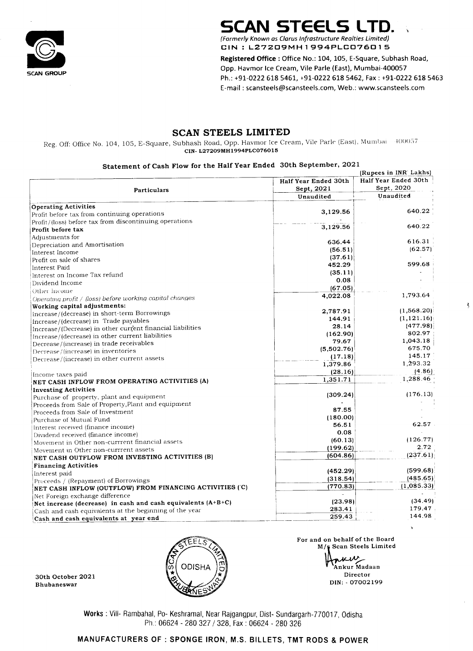

## SCAN STEELS LTD. SCAN STEELS LTD

Reg. Off: Office No. 104, 105, E-Square, Subhash Road, Opp. Havmor Ice Cream, Vile Parle (East), Mumbai <sup>4100057</sup> CIN- L27209MH1994PLC076015 Form GROUP<br>
CAN GROUP<br>
CAN STEE<br>
Reg. Off: Office No. 104, 105, E-Square, Subhash Road, O<br>
SCAN STEE<br>
Reg. Off: Office No. 104, 105, E-Square, Subhash Road, O<br>
CIN-127209MH<br>
Statement of Cash Flow for the Hal

#### SCAN STEELS LIMITED

For and on behalf of the Board M/s Scan Steels Limited riciv Ankur Madaan Director  $\overrightarrow{30}$  Director<br>Director Director Director Director

> - Keshram<br>624 - 280<br>SPONG Works : Vill- Rambahal, Po- Keshramal, Near Rajgangpur, Dist- Sundargarh-770017, Odisha Ph.: 06624 - 280 327 / 328, Fax : 06624 - 280 326

| SCAN GROUP                                                                                                                                                                                  | <b>SCAN STEELS LTD.</b><br>(Formerly Known as Clarus Infrastructure Realties Limited)<br>CIN: L27209MH1994PLC076015<br>Registered Office: Office No.: 104, 105, E-Square, Subhash Road,<br>Opp. Havmor Ice Cream, Vile Parle (East), Mumbai-400057<br>Ph.: +91-0222 618 5461, +91-0222 618 5462, Fax : +91-0222 618 546<br>E-mail: scansteels@scansteels.com, Web.: www.scansteels.com |                            |
|---------------------------------------------------------------------------------------------------------------------------------------------------------------------------------------------|----------------------------------------------------------------------------------------------------------------------------------------------------------------------------------------------------------------------------------------------------------------------------------------------------------------------------------------------------------------------------------------|----------------------------|
|                                                                                                                                                                                             |                                                                                                                                                                                                                                                                                                                                                                                        |                            |
|                                                                                                                                                                                             |                                                                                                                                                                                                                                                                                                                                                                                        |                            |
|                                                                                                                                                                                             |                                                                                                                                                                                                                                                                                                                                                                                        |                            |
|                                                                                                                                                                                             |                                                                                                                                                                                                                                                                                                                                                                                        |                            |
|                                                                                                                                                                                             |                                                                                                                                                                                                                                                                                                                                                                                        |                            |
|                                                                                                                                                                                             |                                                                                                                                                                                                                                                                                                                                                                                        |                            |
|                                                                                                                                                                                             |                                                                                                                                                                                                                                                                                                                                                                                        |                            |
|                                                                                                                                                                                             |                                                                                                                                                                                                                                                                                                                                                                                        |                            |
|                                                                                                                                                                                             |                                                                                                                                                                                                                                                                                                                                                                                        |                            |
| Reg. Off: Office No. 104, 105, E-Square, Subhash Road, Opp. Havmor Ice Cream, Vile Parle (East), Mumbai                                                                                     | SCAN STEELS LIMITED                                                                                                                                                                                                                                                                                                                                                                    | $-400057$                  |
|                                                                                                                                                                                             | CIN-L27209MH1994PLC076015                                                                                                                                                                                                                                                                                                                                                              |                            |
|                                                                                                                                                                                             | Statement of Cash Flow for the Half Year Ended 30th September, 2021                                                                                                                                                                                                                                                                                                                    | (Rupees in INR' Lakhs)     |
|                                                                                                                                                                                             | Half Year Ended 30th                                                                                                                                                                                                                                                                                                                                                                   | Half Year Ended 30th       |
| <b>Particulars</b>                                                                                                                                                                          | Sept, 2021<br>Unaudited                                                                                                                                                                                                                                                                                                                                                                | Sept, 2020<br>Unaudited    |
| Operating Activities                                                                                                                                                                        |                                                                                                                                                                                                                                                                                                                                                                                        |                            |
| Profit before tax from continuing operations                                                                                                                                                | 3,129.56                                                                                                                                                                                                                                                                                                                                                                               | 640.22                     |
| Profit/(loss) before tax from discontinuing operations                                                                                                                                      | 3,129.56                                                                                                                                                                                                                                                                                                                                                                               | 640.22                     |
| <b>Profit before tax</b><br>$\operatorname{\mathsf{Ad}}\nolimits_1^{\operatorname{\mathsf{Id}}\nolimits}$ and $\operatorname{\mathsf{Ad}}\nolimits_2^{\operatorname{\mathsf{Id}}\nolimits}$ |                                                                                                                                                                                                                                                                                                                                                                                        |                            |
| Depreciation and Amortisation                                                                                                                                                               | 636.44                                                                                                                                                                                                                                                                                                                                                                                 | 616.31                     |
| Interest Income                                                                                                                                                                             | (56.51)<br>(37.61)                                                                                                                                                                                                                                                                                                                                                                     | (62.57)                    |
| Profit on sale of shares<br> Interest Paid                                                                                                                                                  | 452.29                                                                                                                                                                                                                                                                                                                                                                                 | 599.68                     |
| Interest on Income Tax refund                                                                                                                                                               | (35.11)                                                                                                                                                                                                                                                                                                                                                                                |                            |
| Dividend Income                                                                                                                                                                             | 0.08<br>(67.05)                                                                                                                                                                                                                                                                                                                                                                        |                            |
| †Other Income<br>Operating profit / (loss) before working capital changes                                                                                                                   | 4,022.08                                                                                                                                                                                                                                                                                                                                                                               | 1,793.64                   |
| Working capital adjustments:                                                                                                                                                                |                                                                                                                                                                                                                                                                                                                                                                                        |                            |
| Increase/(decrease) in short-term Borrowings                                                                                                                                                | 2,787.91                                                                                                                                                                                                                                                                                                                                                                               | (1,568.20)<br>(1,121.16)   |
| Increase/(decrease) in Trade payables                                                                                                                                                       | 144.91<br>28.14                                                                                                                                                                                                                                                                                                                                                                        | (477.98)                   |
| Increase/(Decrease) in other current financial liabilities<br>Increase/(decrease) in other current liabilities                                                                              | (162.90)                                                                                                                                                                                                                                                                                                                                                                               | 802.97                     |
| Decrease/(increase) in trade receivables                                                                                                                                                    | 79.67                                                                                                                                                                                                                                                                                                                                                                                  | 1,043.18                   |
| [Decrease/(increase) in inventories                                                                                                                                                         | (5,502.76)                                                                                                                                                                                                                                                                                                                                                                             | 675.70<br>145.17           |
| Decrease/(increase) in other current assets                                                                                                                                                 | (17.18)<br>1,379.86                                                                                                                                                                                                                                                                                                                                                                    | 1,293.32                   |
| [Income taxes paid]                                                                                                                                                                         | (28.16)                                                                                                                                                                                                                                                                                                                                                                                | (4.86)                     |
| NET CASH INFLOW FROM OPERATING ACTIVITIES (A)                                                                                                                                               | 1,351.71                                                                                                                                                                                                                                                                                                                                                                               | 1,288.46                   |
| Investing Activities                                                                                                                                                                        |                                                                                                                                                                                                                                                                                                                                                                                        | (176.13)                   |
| Purchase of property, plant and equipment                                                                                                                                                   | (309.24)                                                                                                                                                                                                                                                                                                                                                                               |                            |
| Proceeds from Sale of Property, Plant and equipment                                                                                                                                         | 87.55                                                                                                                                                                                                                                                                                                                                                                                  |                            |
|                                                                                                                                                                                             | (180.00)                                                                                                                                                                                                                                                                                                                                                                               |                            |
| Proceeds from Sale of Investment<br>Purchase of Mutual Fund                                                                                                                                 | 56.51                                                                                                                                                                                                                                                                                                                                                                                  | 62.57                      |
| Interest received (finance income)                                                                                                                                                          |                                                                                                                                                                                                                                                                                                                                                                                        | (126.77)                   |
| Dividend received (finance income)                                                                                                                                                          | 0.08<br>(60.13)                                                                                                                                                                                                                                                                                                                                                                        |                            |
| Movement in Other non-currrent financial assets                                                                                                                                             | (199.62)                                                                                                                                                                                                                                                                                                                                                                               | 2.72                       |
| $\mid$ Movement in Other non-currrent assets<br>NET CASH OUTFLOW FROM INVESTING ACTIVITIES (B)                                                                                              | (604.86)                                                                                                                                                                                                                                                                                                                                                                               | (237.61)                   |
| <b>Financing Activities</b>                                                                                                                                                                 |                                                                                                                                                                                                                                                                                                                                                                                        |                            |
| Interest paid                                                                                                                                                                               | (452.29)                                                                                                                                                                                                                                                                                                                                                                               | (599.68)                   |
| Proceeds / (Repayment) of Borrowings<br>NET CASH INFLOW (OUTFLOW) FROM FINANCING ACTIVITIES ('C)                                                                                            | (318.54)<br>(770.83)                                                                                                                                                                                                                                                                                                                                                                   | (485.65)<br>$(1,085.33)^+$ |

| Increase/(decrease) in other current habilities |
|-------------------------------------------------|
| Decrease/(increase) in trade receivables        |
| Decrease/(increase) in inventories              |
| Decrease/(increase) in other current assets     |

| Net increase (decrease) in cash and cash equivalents $(A+B+C)$ | (23.98) | (34.49) |
|----------------------------------------------------------------|---------|---------|
| $ Cash$ and cash equivalents at the beginning of the year      | 283.41  | 179.47  |
| Cash and cash equivalents at year end                          | 259.43  | 144.98  |
|                                                                |         |         |



Y

Bhubaneswar